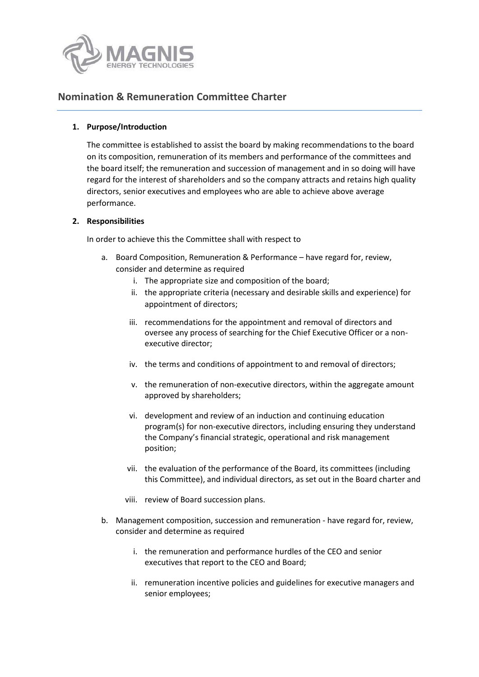

# **Nomination & Remuneration Committee Charter**

### **1. Purpose/Introduction**

The committee is established to assist the board by making recommendations to the board on its composition, remuneration of its members and performance of the committees and the board itself; the remuneration and succession of management and in so doing will have regard for the interest of shareholders and so the company attracts and retains high quality directors, senior executives and employees who are able to achieve above average performance.

### **2. Responsibilities**

In order to achieve this the Committee shall with respect to

- a. Board Composition, Remuneration & Performance have regard for, review, consider and determine as required
	- i. The appropriate size and composition of the board;
	- ii. the appropriate criteria (necessary and desirable skills and experience) for appointment of directors;
	- iii. recommendations for the appointment and removal of directors and oversee any process of searching for the Chief Executive Officer or a nonexecutive director;
	- iv. the terms and conditions of appointment to and removal of directors;
	- v. the remuneration of non-executive directors, within the aggregate amount approved by shareholders;
	- vi. development and review of an induction and continuing education program(s) for non-executive directors, including ensuring they understand the Company's financial strategic, operational and risk management position;
	- vii. the evaluation of the performance of the Board, its committees (including this Committee), and individual directors, as set out in the Board charter and
	- viii. review of Board succession plans.
- b. Management composition, succession and remuneration have regard for, review, consider and determine as required
	- i. the remuneration and performance hurdles of the CEO and senior executives that report to the CEO and Board;
	- ii. remuneration incentive policies and guidelines for executive managers and senior employees;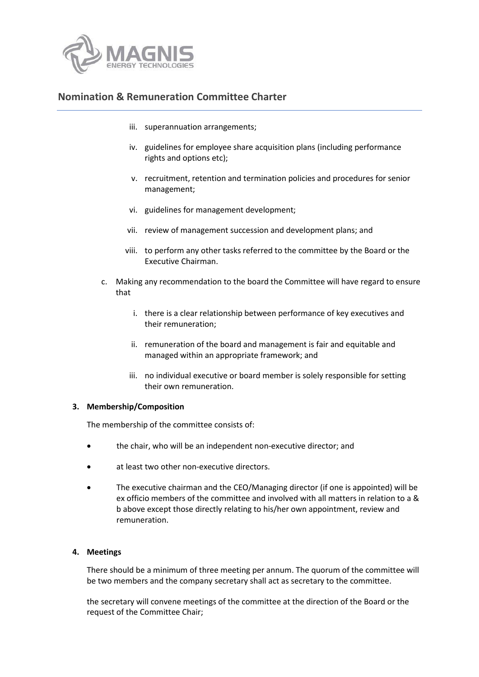

## **Nomination & Remuneration Committee Charter**

- iii. superannuation arrangements;
- iv. guidelines for employee share acquisition plans (including performance rights and options etc);
- v. recruitment, retention and termination policies and procedures for senior management;
- vi. guidelines for management development;
- vii. review of management succession and development plans; and
- viii. to perform any other tasks referred to the committee by the Board or the Executive Chairman.
- c. Making any recommendation to the board the Committee will have regard to ensure that
	- i. there is a clear relationship between performance of key executives and their remuneration;
	- ii. remuneration of the board and management is fair and equitable and managed within an appropriate framework; and
	- iii. no individual executive or board member is solely responsible for setting their own remuneration.

### **3. Membership/Composition**

The membership of the committee consists of:

- the chair, who will be an independent non-executive director; and
- at least two other non-executive directors.
- The executive chairman and the CEO/Managing director (if one is appointed) will be ex officio members of the committee and involved with all matters in relation to a & b above except those directly relating to his/her own appointment, review and remuneration.

### **4. Meetings**

There should be a minimum of three meeting per annum. The quorum of the committee will be two members and the company secretary shall act as secretary to the committee.

the secretary will convene meetings of the committee at the direction of the Board or the request of the Committee Chair;